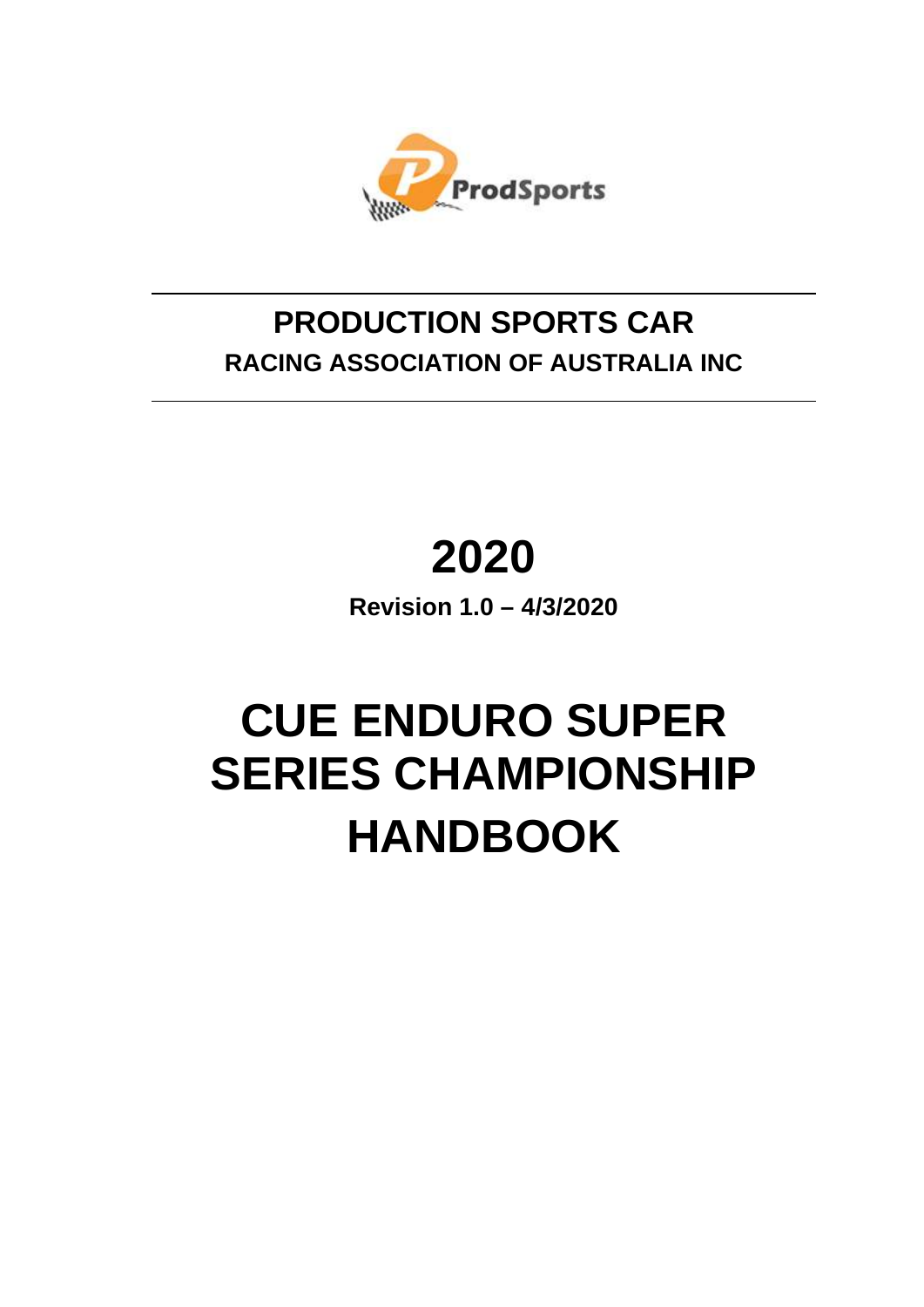

# **PRODUCTION SPORTS CAR RACING ASSOCIATION OF AUSTRALIA INC**

# **2020**

**Revision 1.0 – 4/3/2020**

# **CUE ENDURO SUPER SERIES CHAMPIONSHIP HANDBOOK**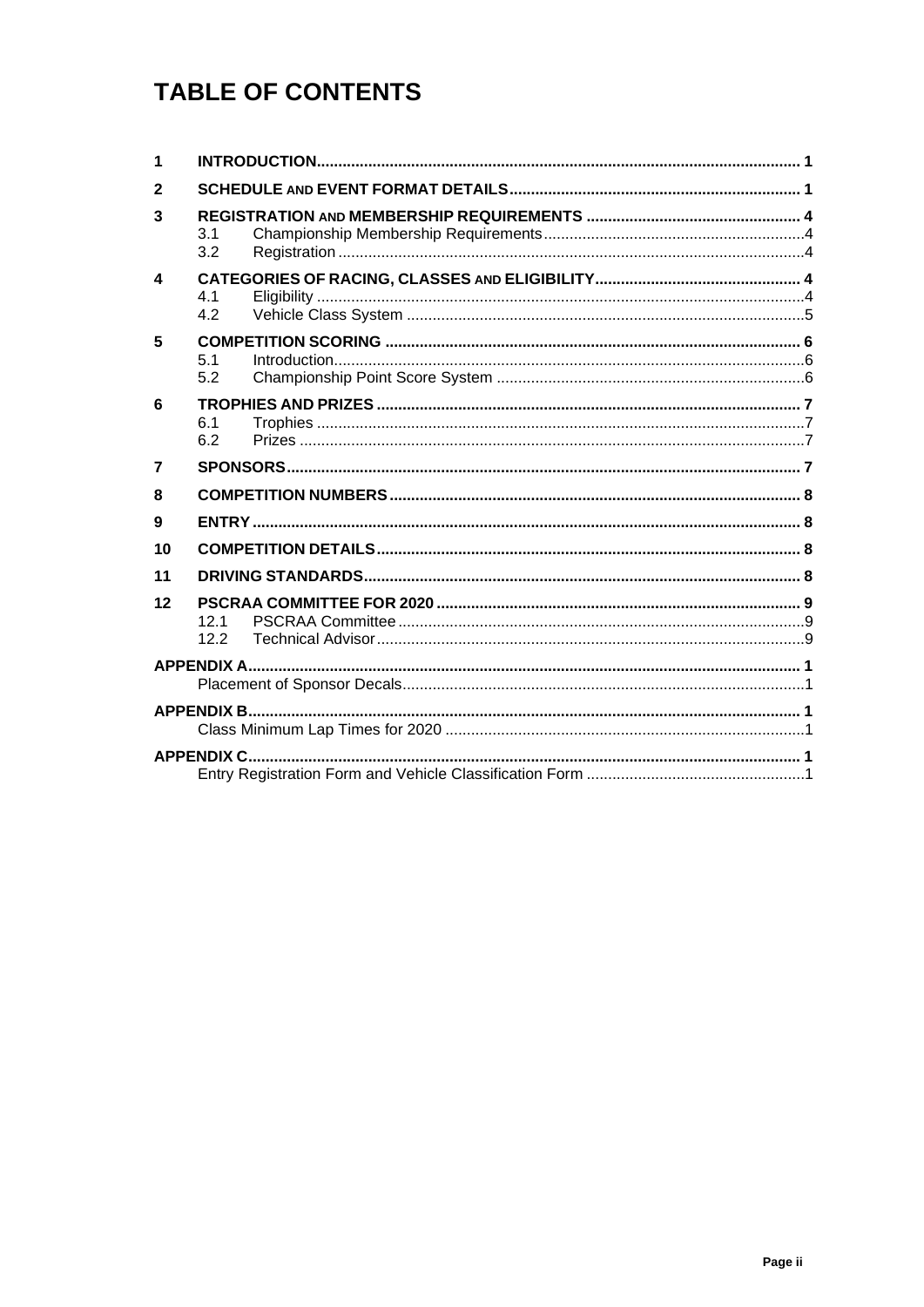## **TABLE OF CONTENTS**

| 1                      |             |  |  |  |  |  |
|------------------------|-------------|--|--|--|--|--|
| $\mathbf{2}$           |             |  |  |  |  |  |
| 3                      | 3.1<br>3.2  |  |  |  |  |  |
| $\boldsymbol{\Lambda}$ | 4.1<br>4.2  |  |  |  |  |  |
| 5                      | 5.1<br>5.2  |  |  |  |  |  |
| 6                      | 6.1<br>6.2  |  |  |  |  |  |
| $\overline{7}$         |             |  |  |  |  |  |
| 8                      |             |  |  |  |  |  |
| 9                      |             |  |  |  |  |  |
| 10                     |             |  |  |  |  |  |
| 11                     |             |  |  |  |  |  |
| 12                     | 121<br>12.2 |  |  |  |  |  |
|                        |             |  |  |  |  |  |
|                        |             |  |  |  |  |  |
|                        |             |  |  |  |  |  |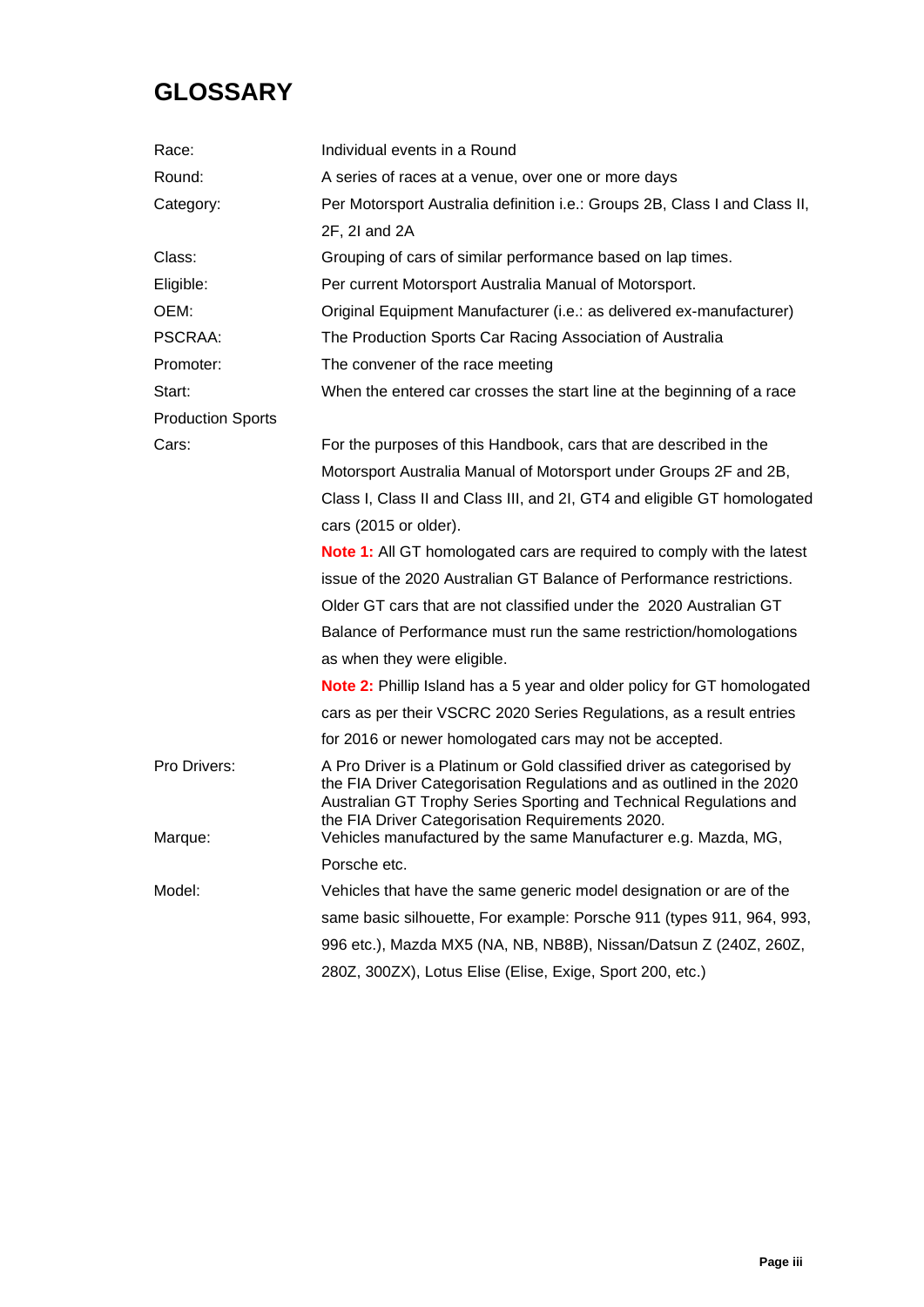## **GLOSSARY**

| Per Motorsport Australia definition i.e.: Groups 2B, Class I and Class II,                                                                                                                                             |  |  |  |  |  |
|------------------------------------------------------------------------------------------------------------------------------------------------------------------------------------------------------------------------|--|--|--|--|--|
|                                                                                                                                                                                                                        |  |  |  |  |  |
|                                                                                                                                                                                                                        |  |  |  |  |  |
|                                                                                                                                                                                                                        |  |  |  |  |  |
|                                                                                                                                                                                                                        |  |  |  |  |  |
|                                                                                                                                                                                                                        |  |  |  |  |  |
|                                                                                                                                                                                                                        |  |  |  |  |  |
| When the entered car crosses the start line at the beginning of a race                                                                                                                                                 |  |  |  |  |  |
|                                                                                                                                                                                                                        |  |  |  |  |  |
| For the purposes of this Handbook, cars that are described in the                                                                                                                                                      |  |  |  |  |  |
| Motorsport Australia Manual of Motorsport under Groups 2F and 2B,                                                                                                                                                      |  |  |  |  |  |
| Class I, Class II and Class III, and 2I, GT4 and eligible GT homologated                                                                                                                                               |  |  |  |  |  |
| cars (2015 or older).                                                                                                                                                                                                  |  |  |  |  |  |
| <b>Note 1:</b> All GT homologated cars are required to comply with the latest                                                                                                                                          |  |  |  |  |  |
|                                                                                                                                                                                                                        |  |  |  |  |  |
|                                                                                                                                                                                                                        |  |  |  |  |  |
| Balance of Performance must run the same restriction/homologations                                                                                                                                                     |  |  |  |  |  |
|                                                                                                                                                                                                                        |  |  |  |  |  |
| <b>Note 2:</b> Phillip Island has a 5 year and older policy for GT homologated                                                                                                                                         |  |  |  |  |  |
| cars as per their VSCRC 2020 Series Regulations, as a result entries                                                                                                                                                   |  |  |  |  |  |
|                                                                                                                                                                                                                        |  |  |  |  |  |
| the FIA Driver Categorisation Regulations and as outlined in the 2020<br>Australian GT Trophy Series Sporting and Technical Regulations and                                                                            |  |  |  |  |  |
| Vehicles manufactured by the same Manufacturer e.g. Mazda, MG,<br>Porsche etc.                                                                                                                                         |  |  |  |  |  |
|                                                                                                                                                                                                                        |  |  |  |  |  |
| Vehicles that have the same generic model designation or are of the<br>same basic silhouette, For example: Porsche 911 (types 911, 964, 993,                                                                           |  |  |  |  |  |
| 996 etc.), Mazda MX5 (NA, NB, NB8B), Nissan/Datsun Z (240Z, 260Z,                                                                                                                                                      |  |  |  |  |  |
| 280Z, 300ZX), Lotus Elise (Elise, Exige, Sport 200, etc.)                                                                                                                                                              |  |  |  |  |  |
| Original Equipment Manufacturer (i.e.: as delivered ex-manufacturer)<br>issue of the 2020 Australian GT Balance of Performance restrictions.<br>A Pro Driver is a Platinum or Gold classified driver as categorised by |  |  |  |  |  |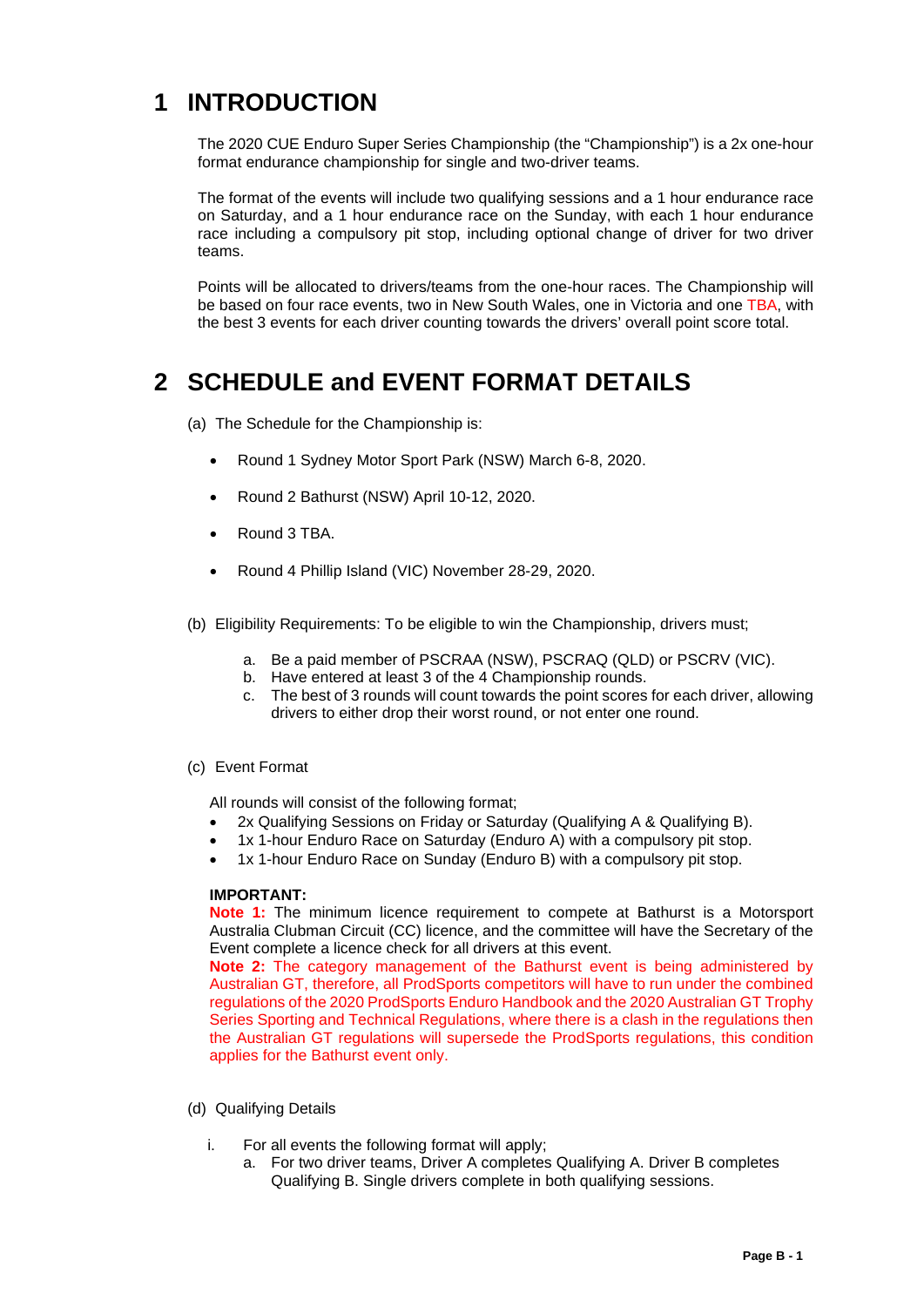## <span id="page-3-0"></span>**1 INTRODUCTION**

The 2020 CUE Enduro Super Series Championship (the "Championship") is a 2x one-hour format endurance championship for single and two-driver teams.

The format of the events will include two qualifying sessions and a 1 hour endurance race on Saturday, and a 1 hour endurance race on the Sunday, with each 1 hour endurance race including a compulsory pit stop, including optional change of driver for two driver teams.

Points will be allocated to drivers/teams from the one-hour races. The Championship will be based on four race events, two in New South Wales, one in Victoria and one TBA, with the best 3 events for each driver counting towards the drivers' overall point score total.

## <span id="page-3-1"></span>**2 SCHEDULE and EVENT FORMAT DETAILS**

- (a) The Schedule for the Championship is:
	- Round 1 Sydney Motor Sport Park (NSW) March 6-8, 2020.
	- Round 2 Bathurst (NSW) April 10-12, 2020.
	- Round 3 TBA.
	- Round 4 Phillip Island (VIC) November 28-29, 2020.
- (b) Eligibility Requirements: To be eligible to win the Championship, drivers must;
	- a. Be a paid member of PSCRAA (NSW), PSCRAQ (QLD) or PSCRV (VIC).
	- b. Have entered at least 3 of the 4 Championship rounds.
	- c. The best of 3 rounds will count towards the point scores for each driver, allowing drivers to either drop their worst round, or not enter one round.

#### (c) Event Format

All rounds will consist of the following format;

- 2x Qualifying Sessions on Friday or Saturday (Qualifying A & Qualifying B).
- 1x 1-hour Enduro Race on Saturday (Enduro A) with a compulsory pit stop.
- 1x 1-hour Enduro Race on Sunday (Enduro B) with a compulsory pit stop.

#### **IMPORTANT:**

**Note 1:** The minimum licence requirement to compete at Bathurst is a Motorsport Australia Clubman Circuit (CC) licence, and the committee will have the Secretary of the Event complete a licence check for all drivers at this event.

**Note 2:** The category management of the Bathurst event is being administered by Australian GT, therefore, all ProdSports competitors will have to run under the combined regulations of the 2020 ProdSports Enduro Handbook and the 2020 Australian GT Trophy Series Sporting and Technical Regulations, where there is a clash in the regulations then the Australian GT regulations will supersede the ProdSports regulations, this condition applies for the Bathurst event only.

- (d) Qualifying Details
	- i. For all events the following format will apply;
		- a. For two driver teams, Driver A completes Qualifying A. Driver B completes Qualifying B. Single drivers complete in both qualifying sessions.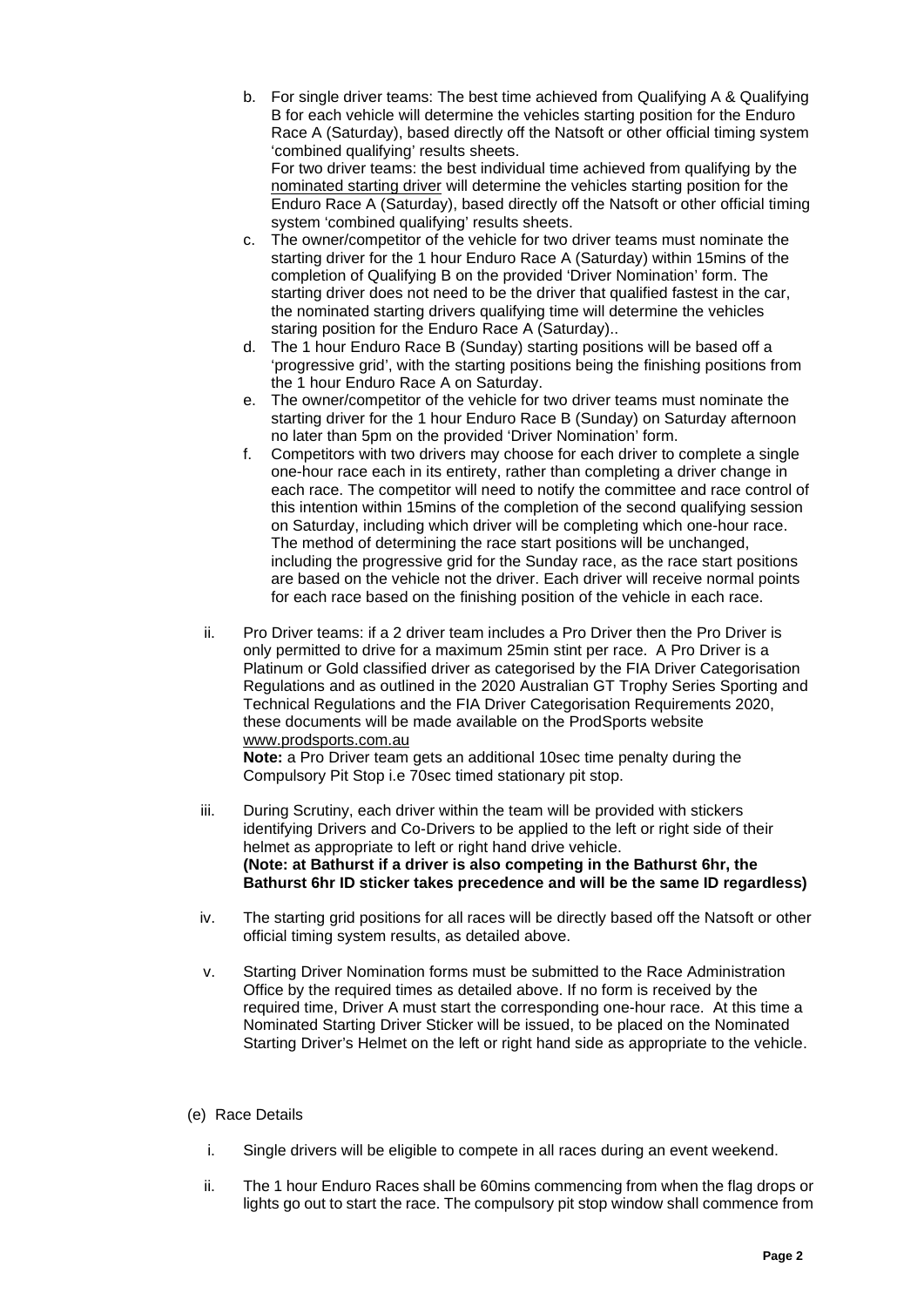- b. For single driver teams: The best time achieved from Qualifying A & Qualifying B for each vehicle will determine the vehicles starting position for the Enduro Race A (Saturday), based directly off the Natsoft or other official timing system 'combined qualifying' results sheets. For two driver teams: the best individual time achieved from qualifying by the nominated starting driver will determine the vehicles starting position for the Enduro Race A (Saturday), based directly off the Natsoft or other official timing system 'combined qualifying' results sheets.
- c. The owner/competitor of the vehicle for two driver teams must nominate the starting driver for the 1 hour Enduro Race A (Saturday) within 15mins of the completion of Qualifying B on the provided 'Driver Nomination' form. The starting driver does not need to be the driver that qualified fastest in the car, the nominated starting drivers qualifying time will determine the vehicles staring position for the Enduro Race A (Saturday)..
- d. The 1 hour Enduro Race B (Sunday) starting positions will be based off a 'progressive grid', with the starting positions being the finishing positions from the 1 hour Enduro Race A on Saturday.
- e. The owner/competitor of the vehicle for two driver teams must nominate the starting driver for the 1 hour Enduro Race B (Sunday) on Saturday afternoon no later than 5pm on the provided 'Driver Nomination' form.
- f. Competitors with two drivers may choose for each driver to complete a single one-hour race each in its entirety, rather than completing a driver change in each race. The competitor will need to notify the committee and race control of this intention within 15mins of the completion of the second qualifying session on Saturday, including which driver will be completing which one-hour race. The method of determining the race start positions will be unchanged, including the progressive grid for the Sunday race, as the race start positions are based on the vehicle not the driver. Each driver will receive normal points for each race based on the finishing position of the vehicle in each race.
- ii. Pro Driver teams: if a 2 driver team includes a Pro Driver then the Pro Driver is only permitted to drive for a maximum 25min stint per race. A Pro Driver is a Platinum or Gold classified driver as categorised by the FIA Driver Categorisation Regulations and as outlined in the 2020 Australian GT Trophy Series Sporting and Technical Regulations and the FIA Driver Categorisation Requirements 2020, these documents will be made available on the ProdSports website [www.prodsports.com.au](http://www.prodsports.com.au/)

**Note:** a Pro Driver team gets an additional 10sec time penalty during the Compulsory Pit Stop i.e 70sec timed stationary pit stop.

- iii. During Scrutiny, each driver within the team will be provided with stickers identifying Drivers and Co-Drivers to be applied to the left or right side of their helmet as appropriate to left or right hand drive vehicle. **(Note: at Bathurst if a driver is also competing in the Bathurst 6hr, the Bathurst 6hr ID sticker takes precedence and will be the same ID regardless)**
- iv. The starting grid positions for all races will be directly based off the Natsoft or other official timing system results, as detailed above.
- v. Starting Driver Nomination forms must be submitted to the Race Administration Office by the required times as detailed above. If no form is received by the required time, Driver A must start the corresponding one-hour race. At this time a Nominated Starting Driver Sticker will be issued, to be placed on the Nominated Starting Driver's Helmet on the left or right hand side as appropriate to the vehicle.

#### (e) Race Details

- i. Single drivers will be eligible to compete in all races during an event weekend.
- ii. The 1 hour Enduro Races shall be 60mins commencing from when the flag drops or lights go out to start the race. The compulsory pit stop window shall commence from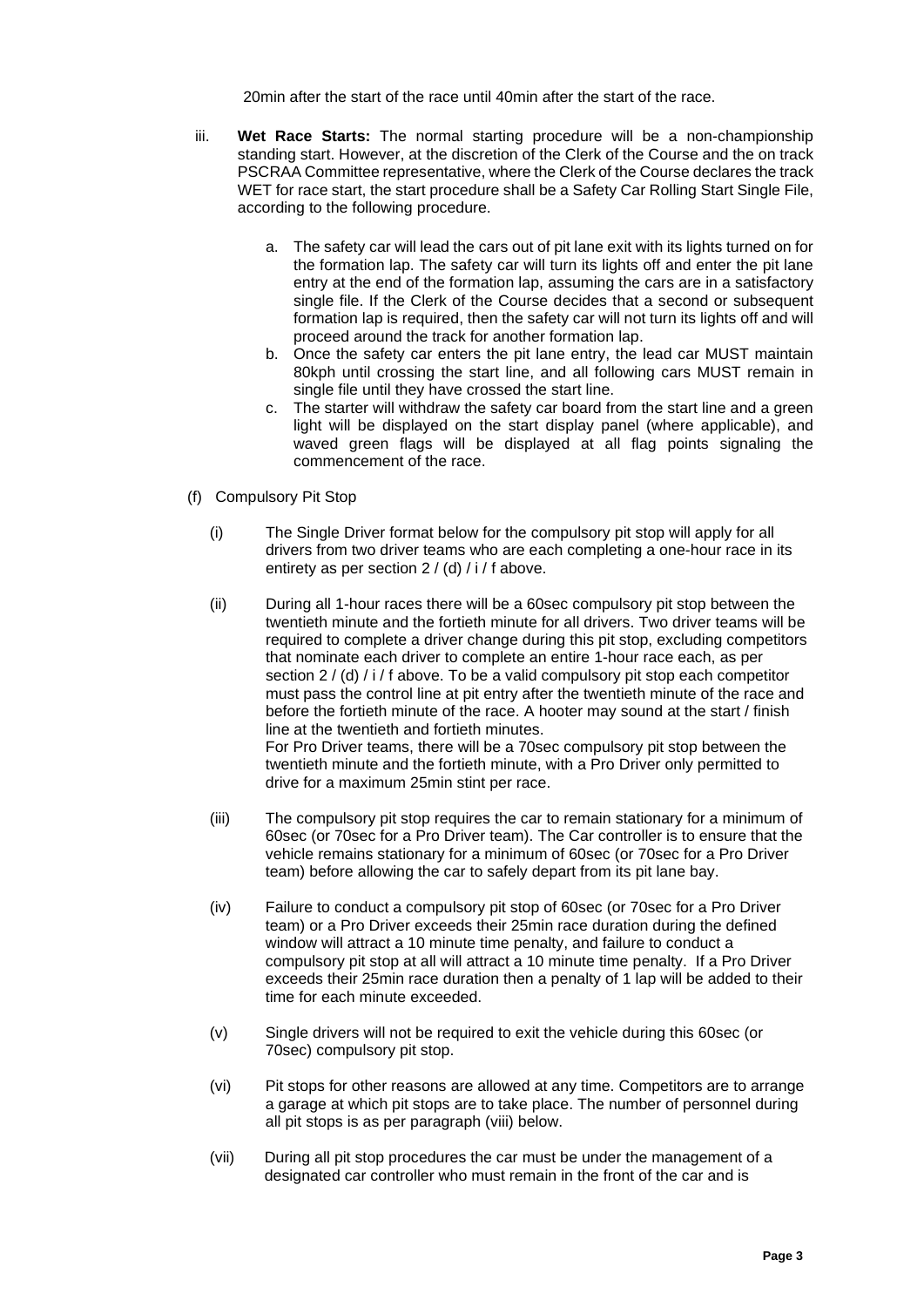20min after the start of the race until 40min after the start of the race.

- iii. **Wet Race Starts:** The normal starting procedure will be a non-championship standing start. However, at the discretion of the Clerk of the Course and the on track PSCRAA Committee representative, where the Clerk of the Course declares the track WET for race start, the start procedure shall be a Safety Car Rolling Start Single File, according to the following procedure.
	- a. The safety car will lead the cars out of pit lane exit with its lights turned on for the formation lap. The safety car will turn its lights off and enter the pit lane entry at the end of the formation lap, assuming the cars are in a satisfactory single file. If the Clerk of the Course decides that a second or subsequent formation lap is required, then the safety car will not turn its lights off and will proceed around the track for another formation lap.
	- b. Once the safety car enters the pit lane entry, the lead car MUST maintain 80kph until crossing the start line, and all following cars MUST remain in single file until they have crossed the start line.
	- c. The starter will withdraw the safety car board from the start line and a green light will be displayed on the start display panel (where applicable), and waved green flags will be displayed at all flag points signaling the commencement of the race.
- (f) Compulsory Pit Stop
	- (i) The Single Driver format below for the compulsory pit stop will apply for all drivers from two driver teams who are each completing a one-hour race in its entirety as per section 2 / (d) / i / f above.
	- (ii) During all 1-hour races there will be a 60sec compulsory pit stop between the twentieth minute and the fortieth minute for all drivers. Two driver teams will be required to complete a driver change during this pit stop, excluding competitors that nominate each driver to complete an entire 1-hour race each, as per section 2 / (d) / i / f above. To be a valid compulsory pit stop each competitor must pass the control line at pit entry after the twentieth minute of the race and before the fortieth minute of the race. A hooter may sound at the start / finish line at the twentieth and fortieth minutes. For Pro Driver teams, there will be a 70sec compulsory pit stop between the twentieth minute and the fortieth minute, with a Pro Driver only permitted to drive for a maximum 25min stint per race.
	- (iii) The compulsory pit stop requires the car to remain stationary for a minimum of 60sec (or 70sec for a Pro Driver team). The Car controller is to ensure that the vehicle remains stationary for a minimum of 60sec (or 70sec for a Pro Driver team) before allowing the car to safely depart from its pit lane bay.
	- (iv) Failure to conduct a compulsory pit stop of 60sec (or 70sec for a Pro Driver team) or a Pro Driver exceeds their 25min race duration during the defined window will attract a 10 minute time penalty, and failure to conduct a compulsory pit stop at all will attract a 10 minute time penalty. If a Pro Driver exceeds their 25min race duration then a penalty of 1 lap will be added to their time for each minute exceeded.
	- (v) Single drivers will not be required to exit the vehicle during this 60sec (or 70sec) compulsory pit stop.
	- (vi) Pit stops for other reasons are allowed at any time. Competitors are to arrange a garage at which pit stops are to take place. The number of personnel during all pit stops is as per paragraph (viii) below.
	- (vii) During all pit stop procedures the car must be under the management of a designated car controller who must remain in the front of the car and is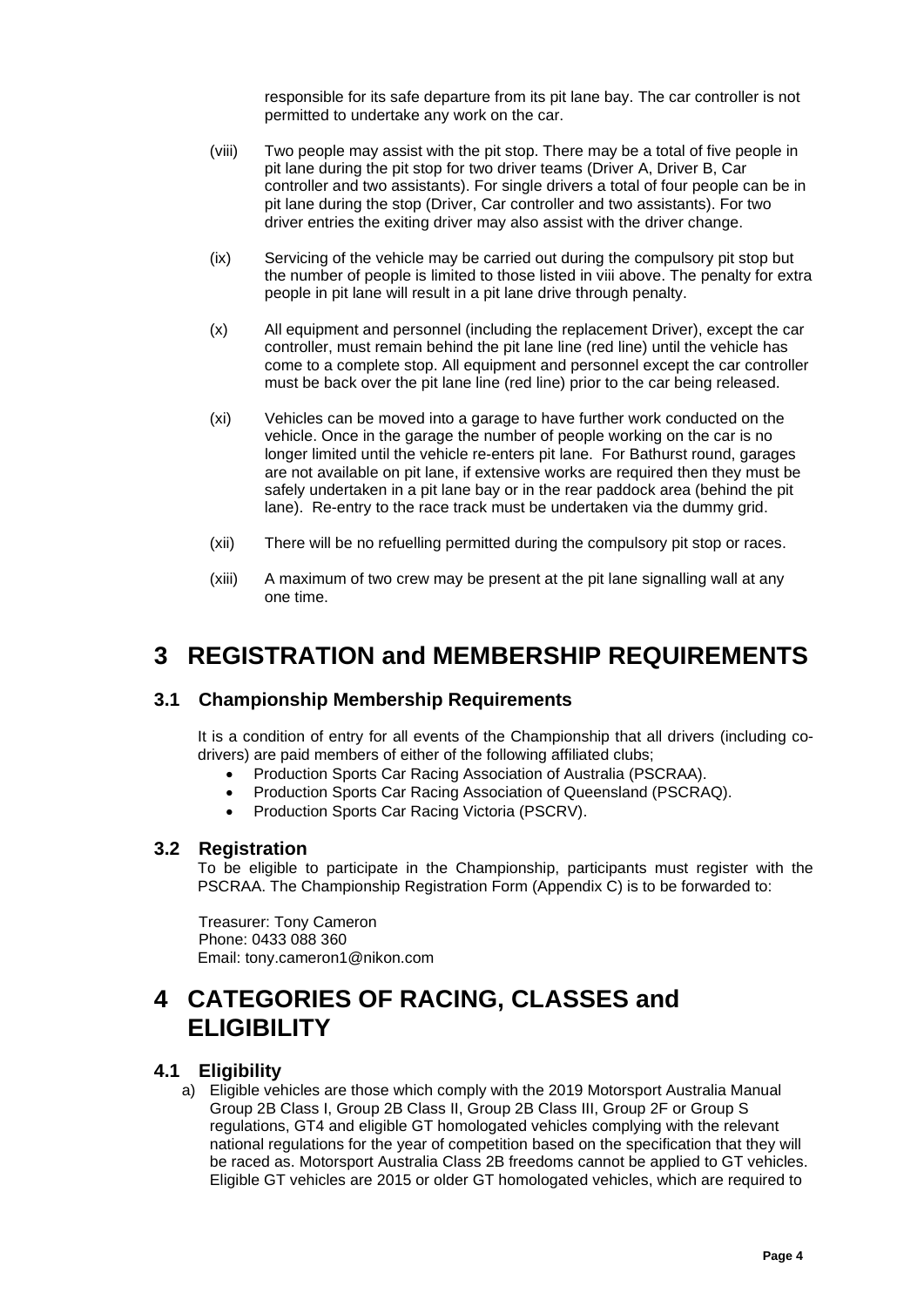responsible for its safe departure from its pit lane bay. The car controller is not permitted to undertake any work on the car.

- (viii) Two people may assist with the pit stop. There may be a total of five people in pit lane during the pit stop for two driver teams (Driver A, Driver B, Car controller and two assistants). For single drivers a total of four people can be in pit lane during the stop (Driver, Car controller and two assistants). For two driver entries the exiting driver may also assist with the driver change.
- (ix) Servicing of the vehicle may be carried out during the compulsory pit stop but the number of people is limited to those listed in viii above. The penalty for extra people in pit lane will result in a pit lane drive through penalty.
- (x) All equipment and personnel (including the replacement Driver), except the car controller, must remain behind the pit lane line (red line) until the vehicle has come to a complete stop. All equipment and personnel except the car controller must be back over the pit lane line (red line) prior to the car being released.
- (xi) Vehicles can be moved into a garage to have further work conducted on the vehicle. Once in the garage the number of people working on the car is no longer limited until the vehicle re-enters pit lane. For Bathurst round, garages are not available on pit lane, if extensive works are required then they must be safely undertaken in a pit lane bay or in the rear paddock area (behind the pit lane). Re-entry to the race track must be undertaken via the dummy grid.
- (xii) There will be no refuelling permitted during the compulsory pit stop or races.
- (xiii) A maximum of two crew may be present at the pit lane signalling wall at any one time.

## <span id="page-6-0"></span>**3 REGISTRATION and MEMBERSHIP REQUIREMENTS**

#### <span id="page-6-1"></span>**3.1 Championship Membership Requirements**

It is a condition of entry for all events of the Championship that all drivers (including codrivers) are paid members of either of the following affiliated clubs;

- Production Sports Car Racing Association of Australia (PSCRAA).
- Production Sports Car Racing Association of Queensland (PSCRAQ).
- Production Sports Car Racing Victoria (PSCRV).

#### <span id="page-6-2"></span>**3.2 Registration**

To be eligible to participate in the Championship, participants must register with the PSCRAA. The Championship Registration Form (Appendix C) is to be forwarded to:

Treasurer: Tony Cameron Phone: 0433 088 360 Email: tony.cameron1@nikon.com

## <span id="page-6-3"></span>**4 CATEGORIES OF RACING, CLASSES and ELIGIBILITY**

#### <span id="page-6-4"></span>**4.1 Eligibility**

a) Eligible vehicles are those which comply with the 2019 Motorsport Australia Manual Group 2B Class I, Group 2B Class II, Group 2B Class III, Group 2F or Group S regulations, GT4 and eligible GT homologated vehicles complying with the relevant national regulations for the year of competition based on the specification that they will be raced as. Motorsport Australia Class 2B freedoms cannot be applied to GT vehicles. Eligible GT vehicles are 2015 or older GT homologated vehicles, which are required to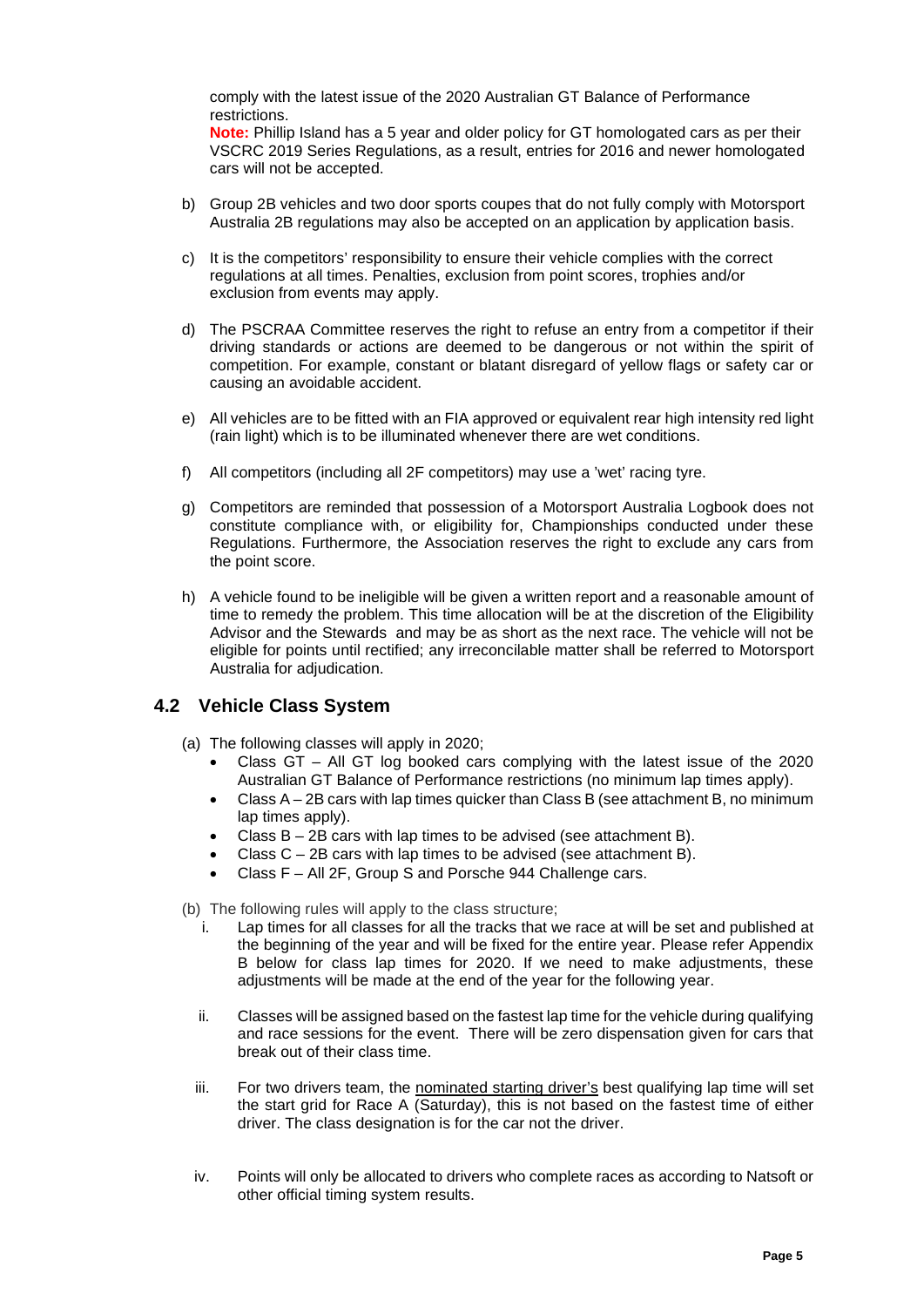comply with the latest issue of the 2020 Australian GT Balance of Performance restrictions.

**Note:** Phillip Island has a 5 year and older policy for GT homologated cars as per their VSCRC 2019 Series Regulations, as a result, entries for 2016 and newer homologated cars will not be accepted.

- b) Group 2B vehicles and two door sports coupes that do not fully comply with Motorsport Australia 2B regulations may also be accepted on an application by application basis.
- c) It is the competitors' responsibility to ensure their vehicle complies with the correct regulations at all times. Penalties, exclusion from point scores, trophies and/or exclusion from events may apply.
- d) The PSCRAA Committee reserves the right to refuse an entry from a competitor if their driving standards or actions are deemed to be dangerous or not within the spirit of competition. For example, constant or blatant disregard of yellow flags or safety car or causing an avoidable accident.
- e) All vehicles are to be fitted with an FIA approved or equivalent rear high intensity red light (rain light) which is to be illuminated whenever there are wet conditions.
- f) All competitors (including all 2F competitors) may use a 'wet' racing tyre.
- g) Competitors are reminded that possession of a Motorsport Australia Logbook does not constitute compliance with, or eligibility for, Championships conducted under these Regulations. Furthermore, the Association reserves the right to exclude any cars from the point score.
- h) A vehicle found to be ineligible will be given a written report and a reasonable amount of time to remedy the problem. This time allocation will be at the discretion of the Eligibility Advisor and the Stewards and may be as short as the next race. The vehicle will not be eligible for points until rectified; any irreconcilable matter shall be referred to Motorsport Australia for adjudication.

#### <span id="page-7-0"></span>**4.2 Vehicle Class System**

- (a) The following classes will apply in 2020;
	- Class GT All GT log booked cars complying with the latest issue of the 2020 Australian GT Balance of Performance restrictions (no minimum lap times apply).
	- Class A 2B cars with lap times quicker than Class B (see attachment B, no minimum lap times apply).
	- Class  $B 2B$  cars with lap times to be advised (see attachment B).
	- Class  $C 2B$  cars with lap times to be advised (see attachment B).
	- Class F All 2F, Group S and Porsche 944 Challenge cars.

(b) The following rules will apply to the class structure;

- i. Lap times for all classes for all the tracks that we race at will be set and published at the beginning of the year and will be fixed for the entire year. Please refer Appendix B below for class lap times for 2020. If we need to make adjustments, these adjustments will be made at the end of the year for the following year.
- ii. Classes will be assigned based on the fastest lap time for the vehicle during qualifying and race sessions for the event. There will be zero dispensation given for cars that break out of their class time.
- iii. For two drivers team, the nominated starting driver's best qualifying lap time will set the start grid for Race A (Saturday), this is not based on the fastest time of either driver. The class designation is for the car not the driver.
- iv. Points will only be allocated to drivers who complete races as according to Natsoft or other official timing system results.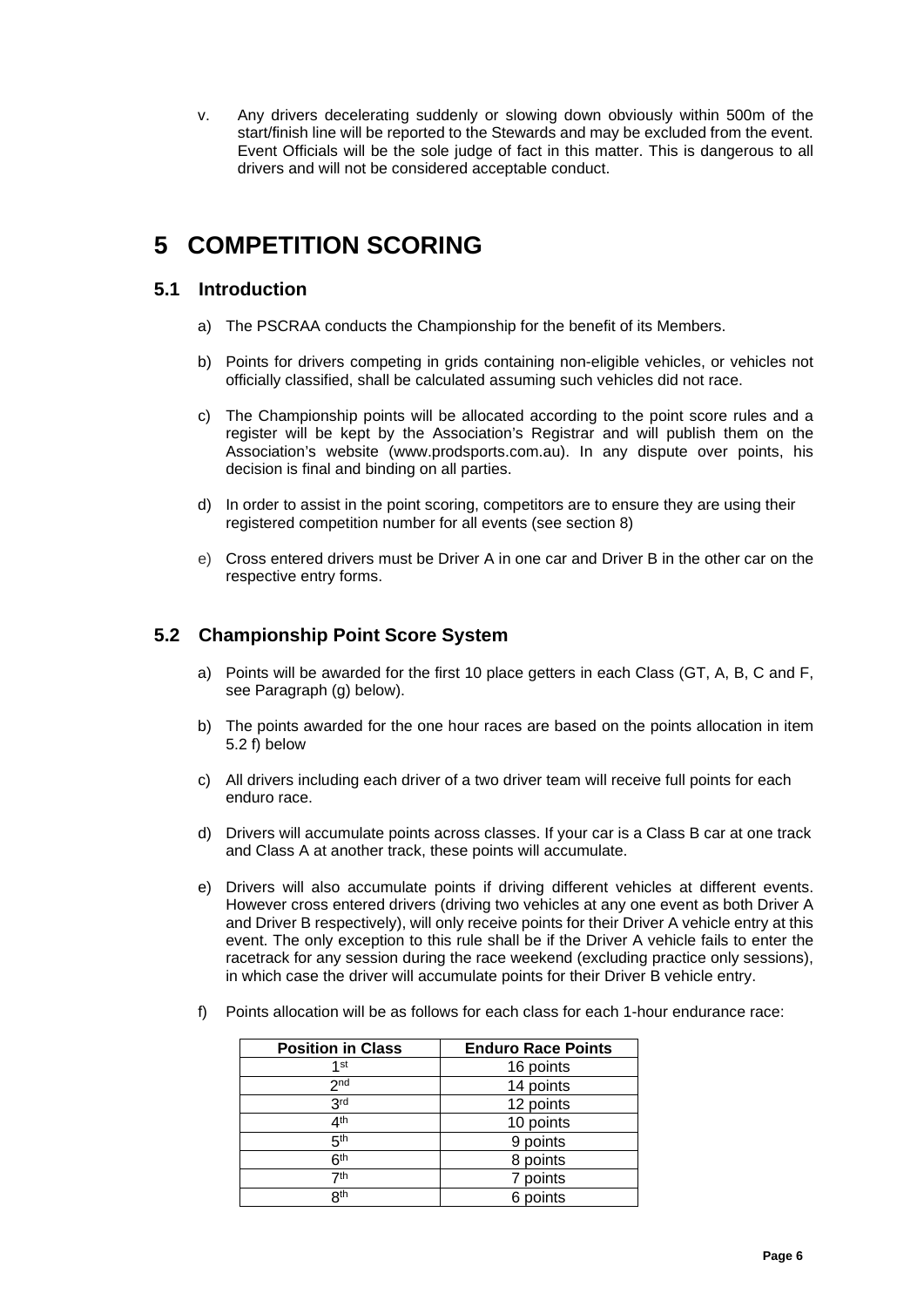v. Any drivers decelerating suddenly or slowing down obviously within 500m of the start/finish line will be reported to the Stewards and may be excluded from the event. Event Officials will be the sole judge of fact in this matter. This is dangerous to all drivers and will not be considered acceptable conduct.

## <span id="page-8-0"></span>**5 COMPETITION SCORING**

#### <span id="page-8-1"></span>**5.1 Introduction**

- a) The PSCRAA conducts the Championship for the benefit of its Members.
- b) Points for drivers competing in grids containing non-eligible vehicles, or vehicles not officially classified, shall be calculated assuming such vehicles did not race.
- c) The Championship points will be allocated according to the point score rules and a register will be kept by the Association's Registrar and will publish them on the Association's website (www.prodsports.com.au). In any dispute over points, his decision is final and binding on all parties.
- d) In order to assist in the point scoring, competitors are to ensure they are using their registered competition number for all events (see section 8)
- e) Cross entered drivers must be Driver A in one car and Driver B in the other car on the respective entry forms.

#### <span id="page-8-2"></span>**5.2 Championship Point Score System**

- a) Points will be awarded for the first 10 place getters in each Class (GT, A, B, C and F, see Paragraph (g) below).
- b) The points awarded for the one hour races are based on the points allocation in item 5.2 f) below
- c) All drivers including each driver of a two driver team will receive full points for each enduro race.
- d) Drivers will accumulate points across classes. If your car is a Class B car at one track and Class A at another track, these points will accumulate.
- e) Drivers will also accumulate points if driving different vehicles at different events. However cross entered drivers (driving two vehicles at any one event as both Driver A and Driver B respectively), will only receive points for their Driver A vehicle entry at this event. The only exception to this rule shall be if the Driver A vehicle fails to enter the racetrack for any session during the race weekend (excluding practice only sessions), in which case the driver will accumulate points for their Driver B vehicle entry.
- f) Points allocation will be as follows for each class for each 1-hour endurance race:

| <b>Position in Class</b> | <b>Enduro Race Points</b> |
|--------------------------|---------------------------|
| 1st                      | 16 points                 |
| 2 <sub>nd</sub>          | 14 points                 |
| 3 <sup>rd</sup>          | 12 points                 |
| 4 <sup>th</sup>          | 10 points                 |
| 5 <sup>th</sup>          | 9 points                  |
| 6 <sup>th</sup>          | 8 points                  |
| 7th                      | 7 points                  |
| 8 <sup>th</sup>          | 6 points                  |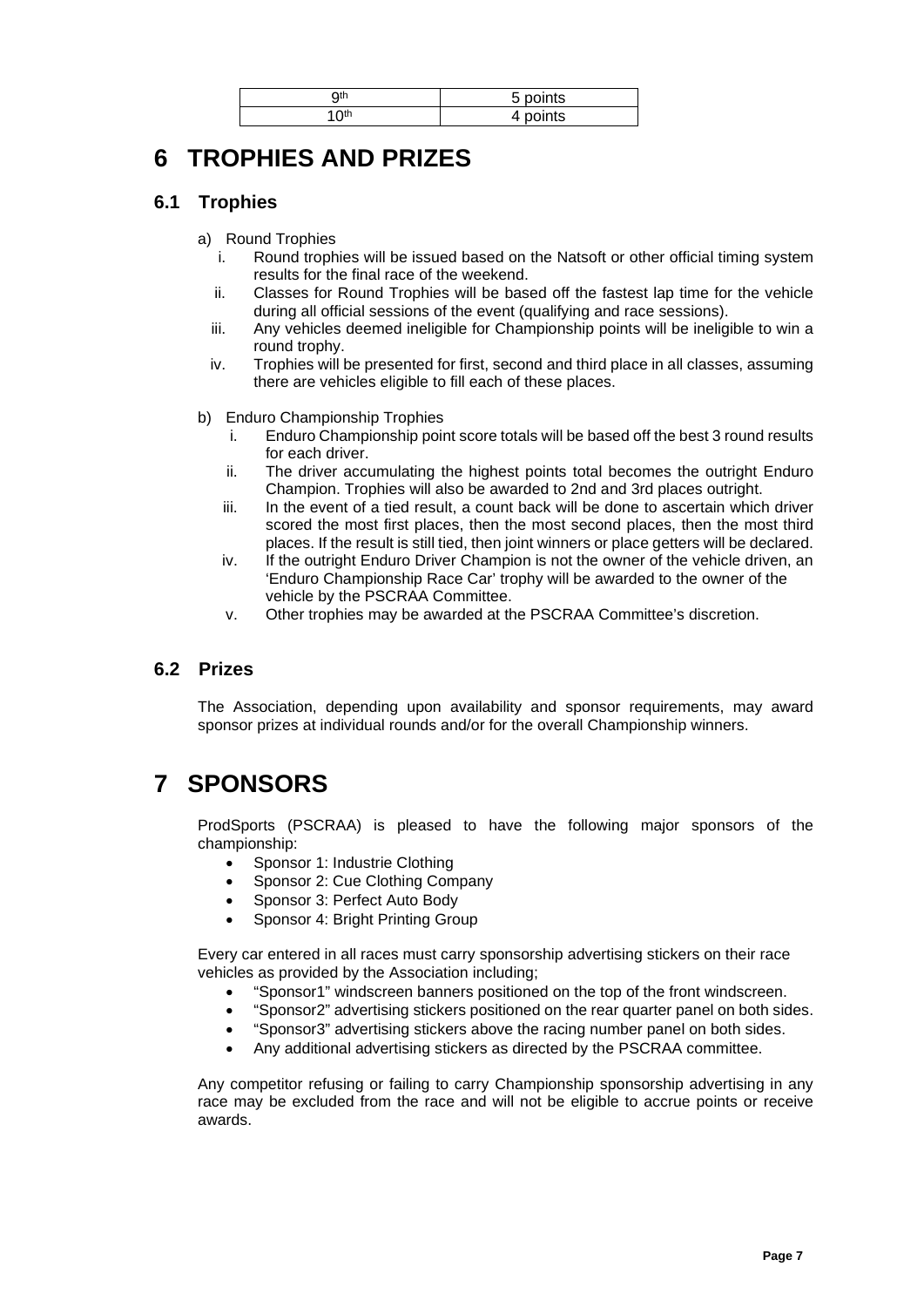| Qth         | 5 points |
|-------------|----------|
| $\sim$<br>u | points   |

## <span id="page-9-0"></span>**6 TROPHIES AND PRIZES**

#### <span id="page-9-1"></span>**6.1 Trophies**

- a) Round Trophies
	- i. Round trophies will be issued based on the Natsoft or other official timing system results for the final race of the weekend.
	- ii. Classes for Round Trophies will be based off the fastest lap time for the vehicle during all official sessions of the event (qualifying and race sessions).
	- iii. Any vehicles deemed ineligible for Championship points will be ineligible to win a round trophy.
	- iv. Trophies will be presented for first, second and third place in all classes, assuming there are vehicles eligible to fill each of these places.
- b) Enduro Championship Trophies
	- i. Enduro Championship point score totals will be based off the best 3 round results for each driver.
	- ii. The driver accumulating the highest points total becomes the outright Enduro Champion. Trophies will also be awarded to 2nd and 3rd places outright.
	- iii. In the event of a tied result, a count back will be done to ascertain which driver scored the most first places, then the most second places, then the most third places. If the result is still tied, then joint winners or place getters will be declared.
	- iv. If the outright Enduro Driver Champion is not the owner of the vehicle driven, an 'Enduro Championship Race Car' trophy will be awarded to the owner of the vehicle by the PSCRAA Committee.
	- v. Other trophies may be awarded at the PSCRAA Committee's discretion.

#### <span id="page-9-2"></span>**6.2 Prizes**

The Association, depending upon availability and sponsor requirements, may award sponsor prizes at individual rounds and/or for the overall Championship winners.

## <span id="page-9-3"></span>**7 SPONSORS**

ProdSports (PSCRAA) is pleased to have the following major sponsors of the championship:

- Sponsor 1: Industrie Clothing
- Sponsor 2: Cue Clothing Company
- Sponsor 3: Perfect Auto Body
- Sponsor 4: Bright Printing Group

Every car entered in all races must carry sponsorship advertising stickers on their race vehicles as provided by the Association including;

- "Sponsor1" windscreen banners positioned on the top of the front windscreen.
- "Sponsor2" advertising stickers positioned on the rear quarter panel on both sides.
- "Sponsor3" advertising stickers above the racing number panel on both sides.
- Any additional advertising stickers as directed by the PSCRAA committee.

Any competitor refusing or failing to carry Championship sponsorship advertising in any race may be excluded from the race and will not be eligible to accrue points or receive awards.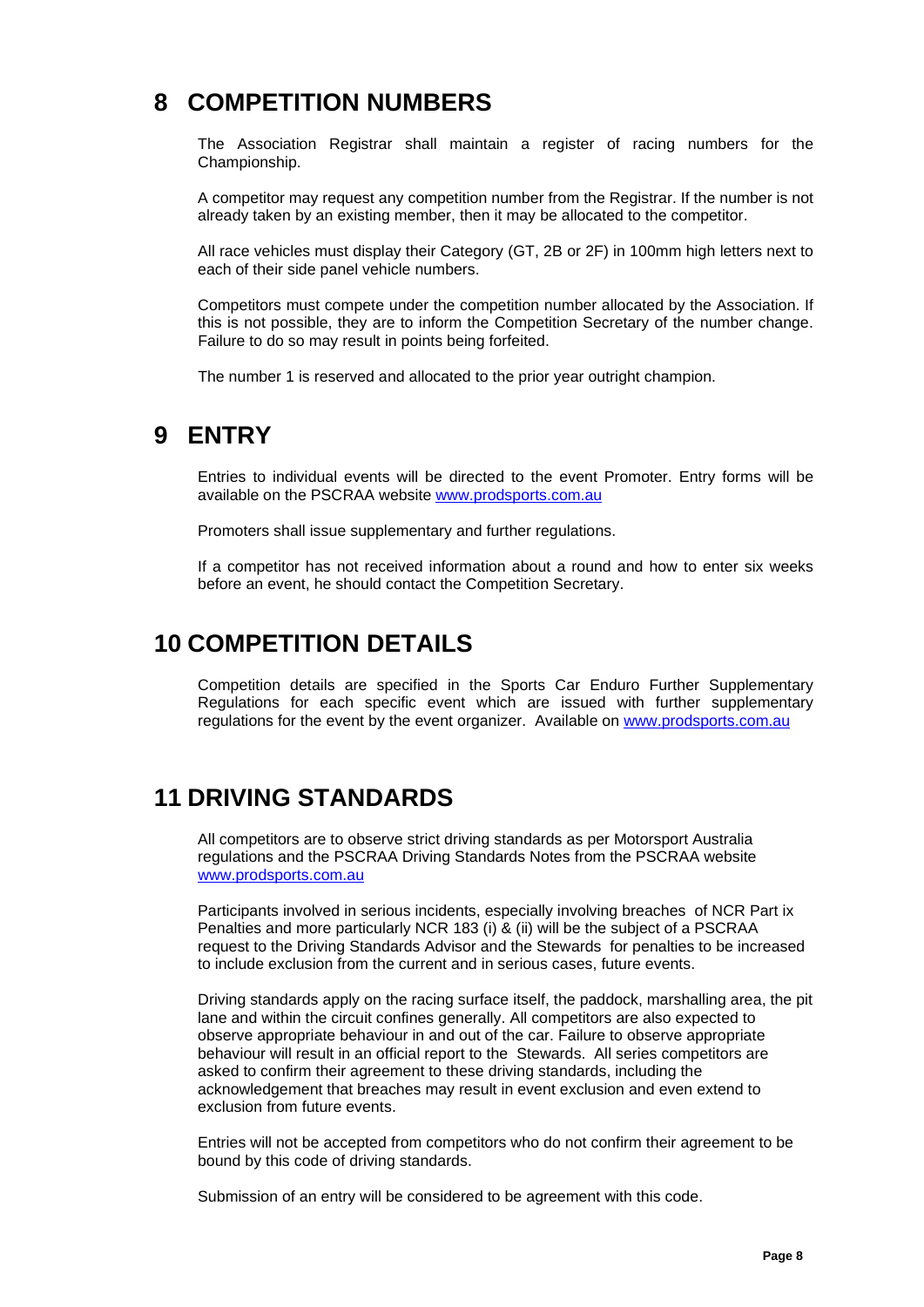## <span id="page-10-0"></span>**8 COMPETITION NUMBERS**

The Association Registrar shall maintain a register of racing numbers for the Championship.

A competitor may request any competition number from the Registrar. If the number is not already taken by an existing member, then it may be allocated to the competitor.

All race vehicles must display their Category (GT, 2B or 2F) in 100mm high letters next to each of their side panel vehicle numbers.

Competitors must compete under the competition number allocated by the Association. If this is not possible, they are to inform the Competition Secretary of the number change. Failure to do so may result in points being forfeited.

The number 1 is reserved and allocated to the prior year outright champion.

#### <span id="page-10-1"></span>**9 ENTRY**

Entries to individual events will be directed to the event Promoter. Entry forms will be available on the PSCRAA website [www.prodsports.com.au](http://www.prodsports.com.au/)

Promoters shall issue supplementary and further regulations.

If a competitor has not received information about a round and how to enter six weeks before an event, he should contact the Competition Secretary.

### <span id="page-10-2"></span>**10 COMPETITION DETAILS**

Competition details are specified in the Sports Car Enduro Further Supplementary Regulations for each specific event which are issued with further supplementary regulations for the event by the event organizer. Available on [www.prodsports.com.au](http://www.prodsports.com.au/)

### <span id="page-10-3"></span>**11 DRIVING STANDARDS**

All competitors are to observe strict driving standards as per Motorsport Australia regulations and the PSCRAA Driving Standards Notes from the PSCRAA website [www.prodsports.com.au](http://www.prodsports.com.au/)

Participants involved in serious incidents, especially involving breaches of NCR Part ix Penalties and more particularly NCR 183 (i) & (ii) will be the subject of a PSCRAA request to the Driving Standards Advisor and the Stewards for penalties to be increased to include exclusion from the current and in serious cases, future events.

Driving standards apply on the racing surface itself, the paddock, marshalling area, the pit lane and within the circuit confines generally. All competitors are also expected to observe appropriate behaviour in and out of the car. Failure to observe appropriate behaviour will result in an official report to the Stewards. All series competitors are asked to confirm their agreement to these driving standards, including the acknowledgement that breaches may result in event exclusion and even extend to exclusion from future events.

Entries will not be accepted from competitors who do not confirm their agreement to be bound by this code of driving standards.

Submission of an entry will be considered to be agreement with this code.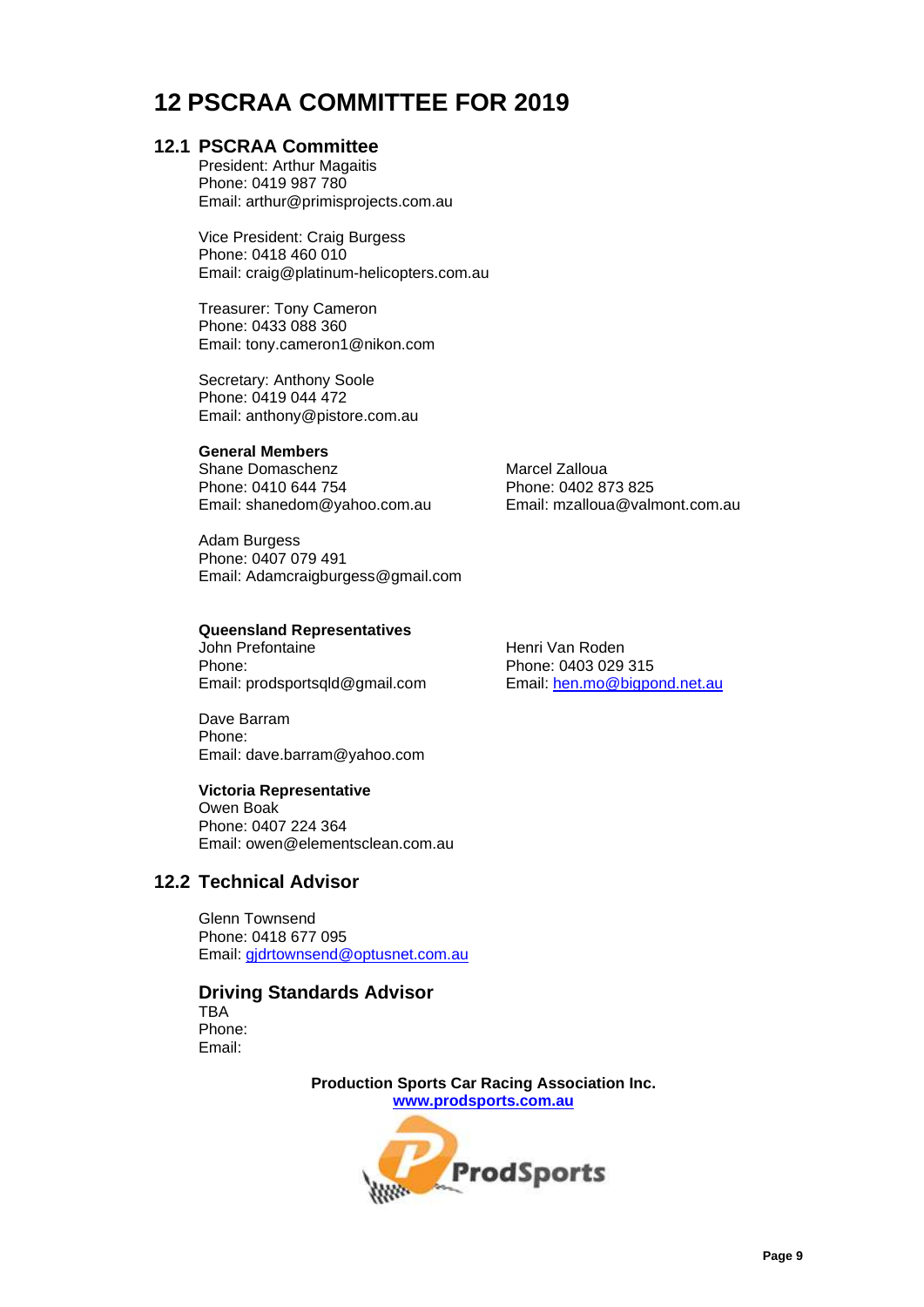## <span id="page-11-0"></span>**12 PSCRAA COMMITTEE FOR 2019**

#### <span id="page-11-1"></span>**12.1 PSCRAA Committee**

President: Arthur Magaitis Phone: 0419 987 780 Email: arthur@primisprojects.com.au

Vice President: Craig Burgess Phone: 0418 460 010 Email: craig@platinum-helicopters.com.au

Treasurer: Tony Cameron Phone: 0433 088 360 Email: tony.cameron1@nikon.com

Secretary: Anthony Soole Phone: 0419 044 472 Email: anthony@pistore.com.au

#### **General Members**

Shane Domaschenz Marcel Zalloua Email: shanedom@yahoo.com.au

Adam Burgess Phone: 0407 079 491 Email: Adamcraigburgess@gmail.com

## **Queensland Representatives**

Phone: 0403 029 315<br>
Email: prodsportsqld@gmail.com Email: hen.mo@bigpond.net.au Email: prodsportsqld@gmail.com

Dave Barram Phone: Email: dave.barram@yahoo.com

#### **Victoria Representative**

Owen Boak Phone: 0407 224 364 Email: owen@elementsclean.com.au

#### **12.2 Technical Advisor**

<span id="page-11-2"></span>Glenn Townsend Phone: 0418 677 095 Email: [gjdrtownsend@optusnet.com.au](mailto:gjdrtownsend@optusnet.com.au)

## **Driving Standards Advisor**

TBA Phone: Email:

> **Production Sports Car Racing Association Inc. [www.prodsports.com.au](http://www.prodsports.com.au/)**



Phone: 0410 644 754 Phone: 0402 873 825

Henri Van Roden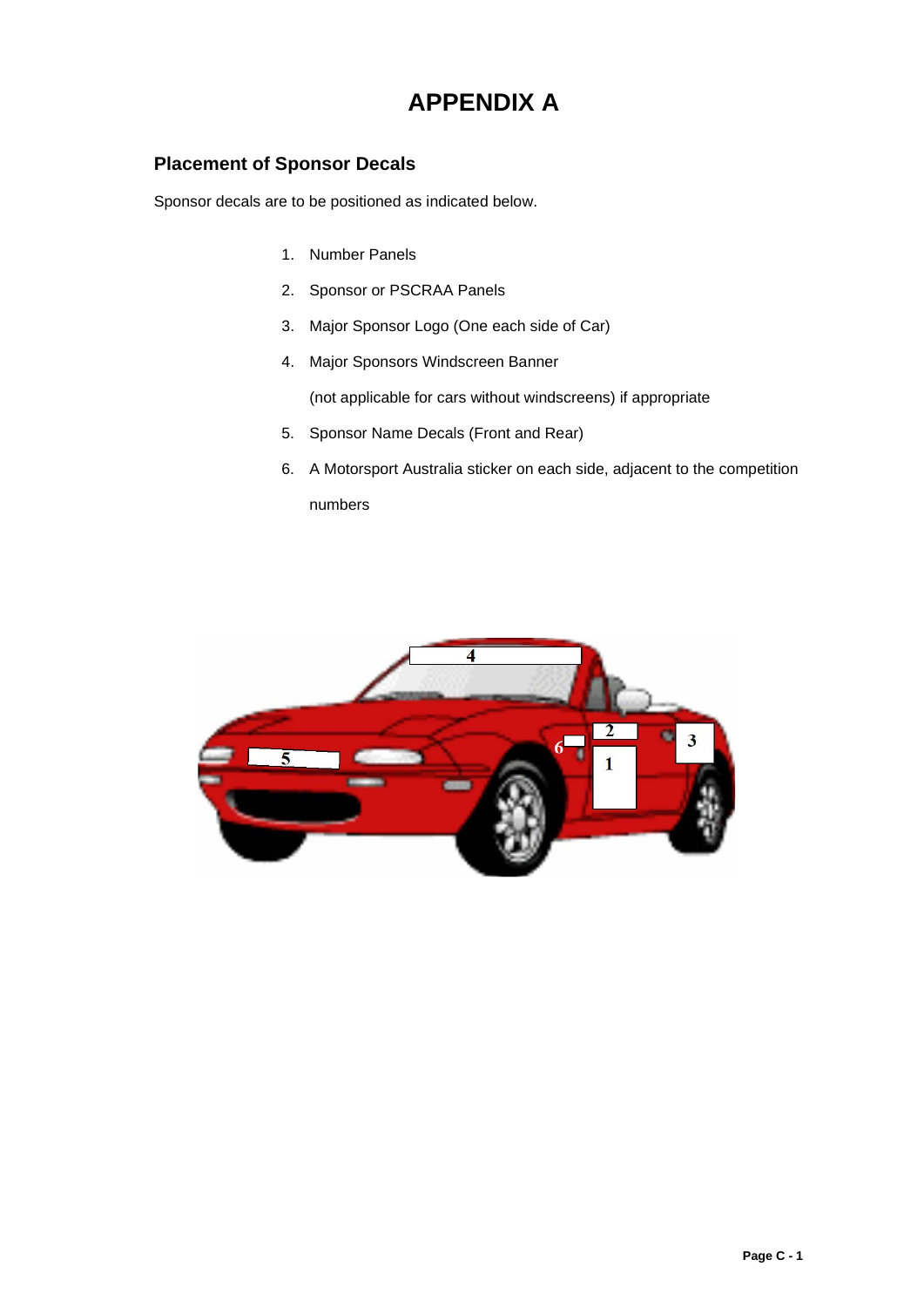## **APPENDIX A**

#### <span id="page-12-1"></span><span id="page-12-0"></span>**Placement of Sponsor Decals**

Sponsor decals are to be positioned as indicated below.

- 1. Number Panels
- 2. Sponsor or PSCRAA Panels
- 3. Major Sponsor Logo (One each side of Car)
- 4. Major Sponsors Windscreen Banner

(not applicable for cars without windscreens) if appropriate

- 5. Sponsor Name Decals (Front and Rear)
- 6. A Motorsport Australia sticker on each side, adjacent to the competition numbers

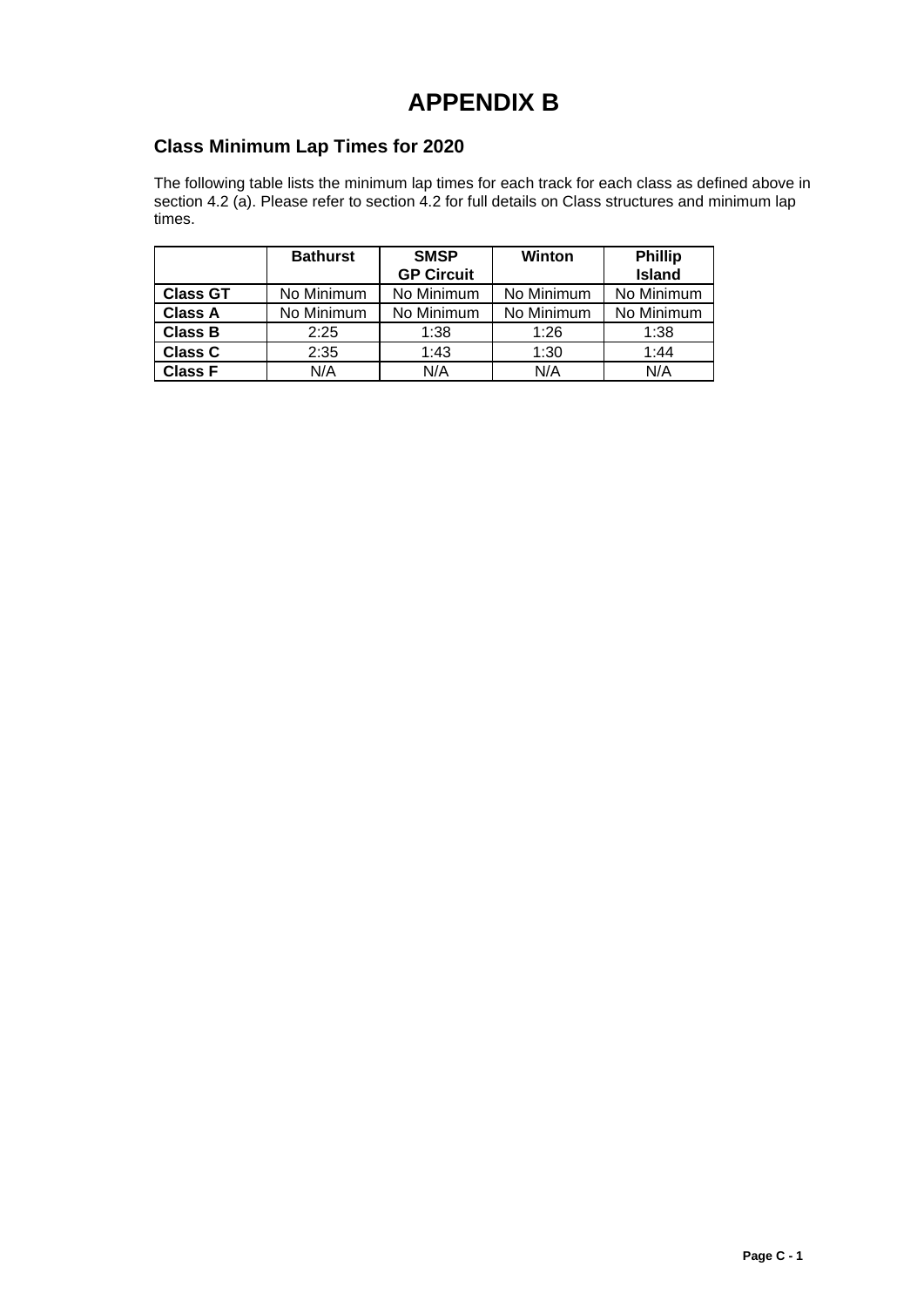## **APPENDIX B**

#### <span id="page-13-1"></span><span id="page-13-0"></span>**Class Minimum Lap Times for 2020**

The following table lists the minimum lap times for each track for each class as defined above in section 4.2 (a). Please refer to section 4.2 for full details on Class structures and minimum lap times.

|                 | <b>Bathurst</b> | <b>SMSP</b>       | Winton     | <b>Phillip</b> |  |
|-----------------|-----------------|-------------------|------------|----------------|--|
|                 |                 | <b>GP Circuit</b> |            | <b>Island</b>  |  |
| <b>Class GT</b> | No Minimum      | No Minimum        | No Minimum | No Minimum     |  |
| <b>Class A</b>  | No Minimum      | No Minimum        | No Minimum | No Minimum     |  |
| <b>Class B</b>  | 2:25            | 1:38              | 1:26       | 1:38           |  |
| <b>Class C</b>  | 2:35            | 1:43              | 1:30       | 1:44           |  |
| <b>Class F</b>  | N/A             | N/A               | N/A        | N/A            |  |